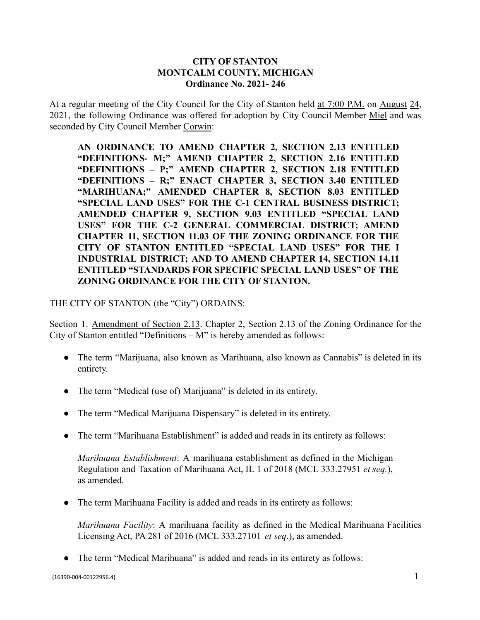## **CITY OF STANTON MONTCALM COUNTY, MICHIGAN Ordinance No. 2021- 246**

At a regular meeting of the City Council for the City of Stanton held at 7:00 P.M. on August 24, 2021, the following Ordinance was offered for adoption by City Council Member Miel and was seconded by City Council Member Corwin:

**AN ORDINANCE TO AMEND CHAPTER 2, SECTION 2.13 ENTITLED "DEFINITIONS- M;" AMEND CHAPTER 2, SECTION 2.16 ENTITLED "DEFINITIONS – P;" AMEND CHAPTER 2, SECTION 2.18 ENTITLED "DEFINITIONS – R;" ENACT CHAPTER 3, SECTION 3.40 ENTITLED "MARIHUANA;" AMENDED CHAPTER 8, SECTION 8.03 ENTITLED "SPECIAL LAND USES" FOR THE C-1 CENTRAL BUSINESS DISTRICT; AMENDED CHAPTER 9, SECTION 9.03 ENTITLED "SPECIAL LAND USES" FOR THE C-2 GENERAL COMMERCIAL DISTRICT; AMEND CHAPTER 11, SECTION 11.03 OF THE ZONING ORDINANCE FOR THE CITY OF STANTON ENTITLED "SPECIAL LAND USES" FOR THE I INDUSTRIAL DISTRICT; AND TO AMEND CHAPTER 14, SECTION 14.11 ENTITLED "STANDARDS FOR SPECIFIC SPECIAL LAND USES" OF THE ZONING ORDINANCE FOR THE CITY OF STANTON.**

THE CITY OF STANTON (the "City") ORDAINS:

Section 1. Amendment of Section 2.13. Chapter 2, Section 2.13 of the Zoning Ordinance for the City of Stanton entitled "Definitions – M" is hereby amended as follows:

- The term "Marijuana, also known as Marihuana, also known as Cannabis" is deleted in its entirety.
- The term "Medical (use of) Marijuana" is deleted in its entirety.
- The term "Medical Marijuana Dispensary" is deleted in its entirety.
- The term "Marihuana Establishment" is added and reads in its entirety as follows:

*Marihuana Establishment*: A marihuana establishment as defined in the Michigan Regulation and Taxation of Marihuana Act, IL 1 of 2018 (MCL 333.27951 *et seq.*), as amended.

• The term Marihuana Facility is added and reads in its entirety as follows:

*Marihuana Facility*: A marihuana facility as defined in the Medical Marihuana Facilities Licensing Act, PA 281 of 2016 (MCL 333.27101 *et seq*.), as amended.

• The term "Medical Marihuana" is added and reads in its entirety as follows: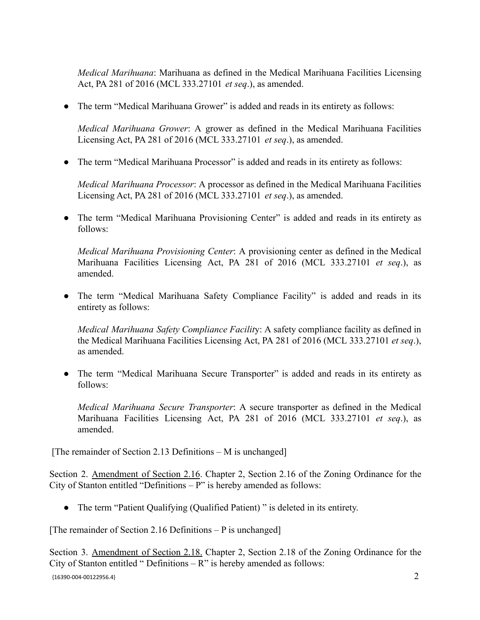*Medical Marihuana*: Marihuana as defined in the Medical Marihuana Facilities Licensing Act, PA 281 of 2016 (MCL 333.27101 *et seq*.), as amended.

• The term "Medical Marihuana Grower" is added and reads in its entirety as follows:

*Medical Marihuana Grower*: A grower as defined in the Medical Marihuana Facilities Licensing Act, PA 281 of 2016 (MCL 333.27101 *et seq*.), as amended.

• The term "Medical Marihuana Processor" is added and reads in its entirety as follows:

*Medical Marihuana Processor*: A processor as defined in the Medical Marihuana Facilities Licensing Act, PA 281 of 2016 (MCL 333.27101 *et seq*.), as amended.

• The term "Medical Marihuana Provisioning Center" is added and reads in its entirety as follows:

*Medical Marihuana Provisioning Center*: A provisioning center as defined in the Medical Marihuana Facilities Licensing Act, PA 281 of 2016 (MCL 333.27101 *et seq*.), as amended.

• The term "Medical Marihuana Safety Compliance Facility" is added and reads in its entirety as follows:

*Medical Marihuana Safety Compliance Facilit*y: A safety compliance facility as defined in the Medical Marihuana Facilities Licensing Act, PA 281 of 2016 (MCL 333.27101 *et seq*.), as amended.

• The term "Medical Marihuana Secure Transporter" is added and reads in its entirety as follows:

*Medical Marihuana Secure Transporter*: A secure transporter as defined in the Medical Marihuana Facilities Licensing Act, PA 281 of 2016 (MCL 333.27101 *et seq*.), as amended.

[The remainder of Section 2.13 Definitions – M is unchanged]

Section 2. Amendment of Section 2.16. Chapter 2, Section 2.16 of the Zoning Ordinance for the City of Stanton entitled "Definitions  $-P$ " is hereby amended as follows:

● The term "Patient Qualifying (Qualified Patient) " is deleted in its entirety.

[The remainder of Section 2.16 Definitions  $-P$  is unchanged]

Section 3. Amendment of Section 2.18. Chapter 2, Section 2.18 of the Zoning Ordinance for the City of Stanton entitled "Definitions  $-R$ " is hereby amended as follows:  $\{16390-004-00122956.4\}$  2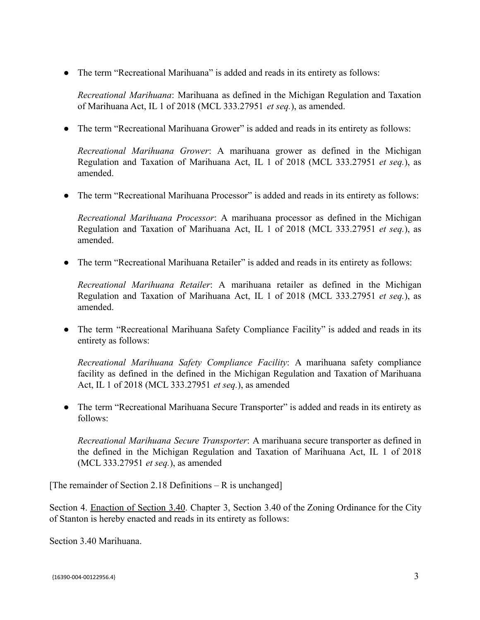• The term "Recreational Marihuana" is added and reads in its entirety as follows:

*Recreational Marihuana*: Marihuana as defined in the Michigan Regulation and Taxation of Marihuana Act, IL 1 of 2018 (MCL 333.27951 *et seq.*), as amended.

• The term "Recreational Marihuana Grower" is added and reads in its entirety as follows:

*Recreational Marihuana Grower*: A marihuana grower as defined in the Michigan Regulation and Taxation of Marihuana Act, IL 1 of 2018 (MCL 333.27951 *et seq.*), as amended.

• The term "Recreational Marihuana Processor" is added and reads in its entirety as follows:

*Recreational Marihuana Processor*: A marihuana processor as defined in the Michigan Regulation and Taxation of Marihuana Act, IL 1 of 2018 (MCL 333.27951 *et seq.*), as amended.

• The term "Recreational Marihuana Retailer" is added and reads in its entirety as follows:

*Recreational Marihuana Retailer*: A marihuana retailer as defined in the Michigan Regulation and Taxation of Marihuana Act, IL 1 of 2018 (MCL 333.27951 *et seq.*), as amended.

• The term "Recreational Marihuana Safety Compliance Facility" is added and reads in its entirety as follows:

*Recreational Marihuana Safety Compliance Facility*: A marihuana safety compliance facility as defined in the defined in the Michigan Regulation and Taxation of Marihuana Act, IL 1 of 2018 (MCL 333.27951 *et seq.*), as amended

• The term "Recreational Marihuana Secure Transporter" is added and reads in its entirety as follows:

*Recreational Marihuana Secure Transporter*: A marihuana secure transporter as defined in the defined in the Michigan Regulation and Taxation of Marihuana Act, IL 1 of 2018 (MCL 333.27951 *et seq.*), as amended

[The remainder of Section 2.18 Definitions – R is unchanged]

Section 4. Enaction of Section 3.40. Chapter 3, Section 3.40 of the Zoning Ordinance for the City of Stanton is hereby enacted and reads in its entirety as follows:

Section 3.40 Marihuana.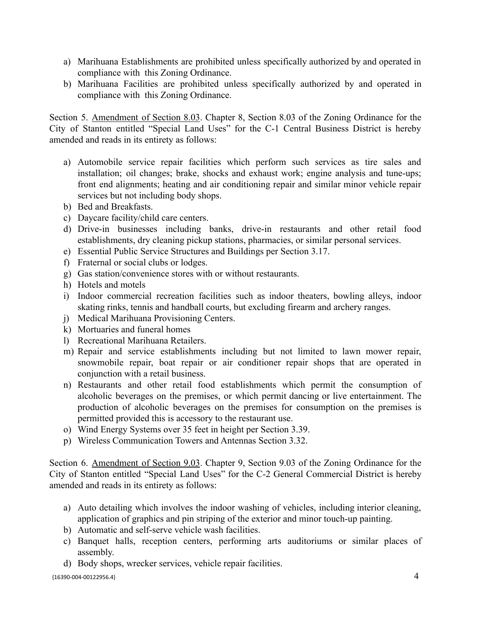- a) Marihuana Establishments are prohibited unless specifically authorized by and operated in compliance with this Zoning Ordinance.
- b) Marihuana Facilities are prohibited unless specifically authorized by and operated in compliance with this Zoning Ordinance.

Section 5. Amendment of Section 8.03. Chapter 8, Section 8.03 of the Zoning Ordinance for the City of Stanton entitled "Special Land Uses" for the C-1 Central Business District is hereby amended and reads in its entirety as follows:

- a) Automobile service repair facilities which perform such services as tire sales and installation; oil changes; brake, shocks and exhaust work; engine analysis and tune-ups; front end alignments; heating and air conditioning repair and similar minor vehicle repair services but not including body shops.
- b) Bed and Breakfasts.
- c) Daycare facility/child care centers.
- d) Drive-in businesses including banks, drive-in restaurants and other retail food establishments, dry cleaning pickup stations, pharmacies, or similar personal services.
- e) Essential Public Service Structures and Buildings per Section 3.17.
- f) Fraternal or social clubs or lodges.
- g) Gas station/convenience stores with or without restaurants.
- h) Hotels and motels
- i) Indoor commercial recreation facilities such as indoor theaters, bowling alleys, indoor skating rinks, tennis and handball courts, but excluding firearm and archery ranges.
- j) Medical Marihuana Provisioning Centers.
- k) Mortuaries and funeral homes
- l) Recreational Marihuana Retailers.
- m) Repair and service establishments including but not limited to lawn mower repair, snowmobile repair, boat repair or air conditioner repair shops that are operated in conjunction with a retail business.
- n) Restaurants and other retail food establishments which permit the consumption of alcoholic beverages on the premises, or which permit dancing or live entertainment. The production of alcoholic beverages on the premises for consumption on the premises is permitted provided this is accessory to the restaurant use.
- o) Wind Energy Systems over 35 feet in height per Section 3.39.
- p) Wireless Communication Towers and Antennas Section 3.32.

Section 6. Amendment of Section 9.03. Chapter 9, Section 9.03 of the Zoning Ordinance for the City of Stanton entitled "Special Land Uses" for the C-2 General Commercial District is hereby amended and reads in its entirety as follows:

- a) Auto detailing which involves the indoor washing of vehicles, including interior cleaning, application of graphics and pin striping of the exterior and minor touch-up painting.
- b) Automatic and self-serve vehicle wash facilities.
- c) Banquet halls, reception centers, performing arts auditoriums or similar places of assembly.
- d) Body shops, wrecker services, vehicle repair facilities.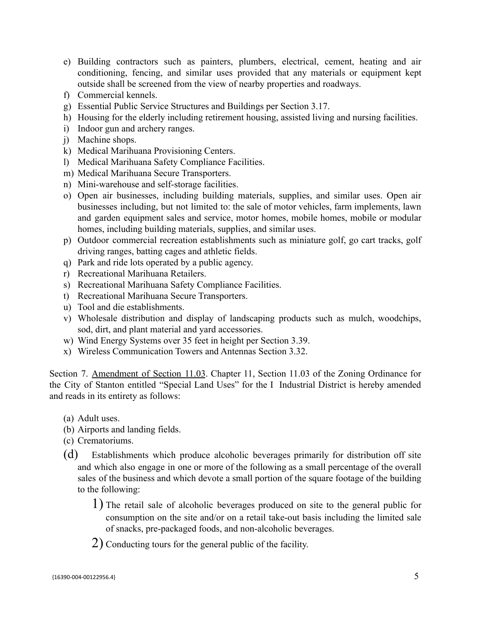- e) Building contractors such as painters, plumbers, electrical, cement, heating and air conditioning, fencing, and similar uses provided that any materials or equipment kept outside shall be screened from the view of nearby properties and roadways.
- f) Commercial kennels.
- g) Essential Public Service Structures and Buildings per Section 3.17.
- h) Housing for the elderly including retirement housing, assisted living and nursing facilities.
- i) Indoor gun and archery ranges.
- j) Machine shops.
- k) Medical Marihuana Provisioning Centers.
- l) Medical Marihuana Safety Compliance Facilities.
- m) Medical Marihuana Secure Transporters.
- n) Mini-warehouse and self-storage facilities.
- o) Open air businesses, including building materials, supplies, and similar uses. Open air businesses including, but not limited to: the sale of motor vehicles, farm implements, lawn and garden equipment sales and service, motor homes, mobile homes, mobile or modular homes, including building materials, supplies, and similar uses.
- p) Outdoor commercial recreation establishments such as miniature golf, go cart tracks, golf driving ranges, batting cages and athletic fields.
- q) Park and ride lots operated by a public agency.
- r) Recreational Marihuana Retailers.
- s) Recreational Marihuana Safety Compliance Facilities.
- t) Recreational Marihuana Secure Transporters.
- u) Tool and die establishments.
- v) Wholesale distribution and display of landscaping products such as mulch, woodchips, sod, dirt, and plant material and yard accessories.
- w) Wind Energy Systems over 35 feet in height per Section 3.39.
- x) Wireless Communication Towers and Antennas Section 3.32.

Section 7. Amendment of Section 11.03. Chapter 11, Section 11.03 of the Zoning Ordinance for the City of Stanton entitled "Special Land Uses" for the I Industrial District is hereby amended and reads in its entirety as follows:

- (a) Adult uses.
- (b) Airports and landing fields.
- (c) Crematoriums.
- (d) Establishments which produce alcoholic beverages primarily for distribution off site and which also engage in one or more of the following as a small percentage of the overall sales of the business and which devote a small portion of the square footage of the building to the following:
	- 1) The retail sale of alcoholic beverages produced on site to the general public for consumption on the site and/or on a retail take-out basis including the limited sale of snacks, pre-packaged foods, and non-alcoholic beverages.
	- 2) Conducting tours for the general public of the facility.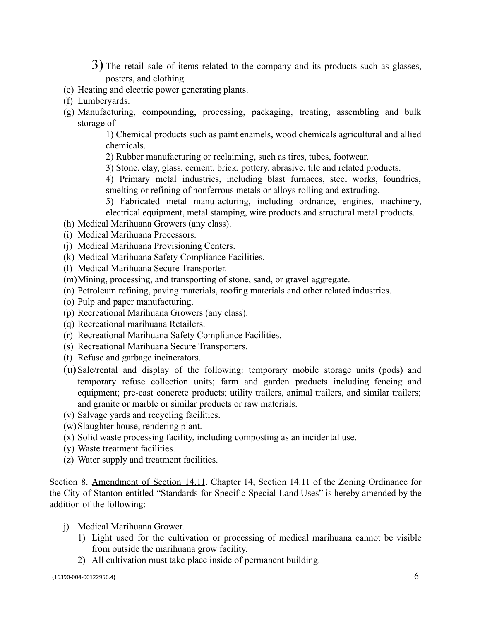- 3) The retail sale of items related to the company and its products such as glasses, posters, and clothing.
- (e) Heating and electric power generating plants.
- (f) Lumberyards.
- (g) Manufacturing, compounding, processing, packaging, treating, assembling and bulk storage of

1) Chemical products such as paint enamels, wood chemicals agricultural and allied chemicals.

- 2) Rubber manufacturing or reclaiming, such as tires, tubes, footwear.
- 3) Stone, clay, glass, cement, brick, pottery, abrasive, tile and related products.

4) Primary metal industries, including blast furnaces, steel works, foundries, smelting or refining of nonferrous metals or alloys rolling and extruding.

- 5) Fabricated metal manufacturing, including ordnance, engines, machinery, electrical equipment, metal stamping, wire products and structural metal products.
- (h) Medical Marihuana Growers (any class).
- (i) Medical Marihuana Processors.
- (j) Medical Marihuana Provisioning Centers.
- (k) Medical Marihuana Safety Compliance Facilities.
- (l) Medical Marihuana Secure Transporter.
- (m)Mining, processing, and transporting of stone, sand, or gravel aggregate.
- (n) Petroleum refining, paving materials, roofing materials and other related industries.
- (o) Pulp and paper manufacturing.
- (p) Recreational Marihuana Growers (any class).
- (q) Recreational marihuana Retailers.
- (r) Recreational Marihuana Safety Compliance Facilities.
- (s) Recreational Marihuana Secure Transporters.
- (t) Refuse and garbage incinerators.
- (u) Sale/rental and display of the following: temporary mobile storage units (pods) and temporary refuse collection units; farm and garden products including fencing and equipment; pre-cast concrete products; utility trailers, animal trailers, and similar trailers; and granite or marble or similar products or raw materials.
- (v) Salvage yards and recycling facilities.
- (w)Slaughter house, rendering plant.
- (x) Solid waste processing facility, including composting as an incidental use.
- (y) Waste treatment facilities.
- (z) Water supply and treatment facilities.

Section 8. Amendment of Section 14.11. Chapter 14, Section 14.11 of the Zoning Ordinance for the City of Stanton entitled "Standards for Specific Special Land Uses" is hereby amended by the addition of the following:

- j) Medical Marihuana Grower.
	- 1) Light used for the cultivation or processing of medical marihuana cannot be visible from outside the marihuana grow facility.
	- 2) All cultivation must take place inside of permanent building.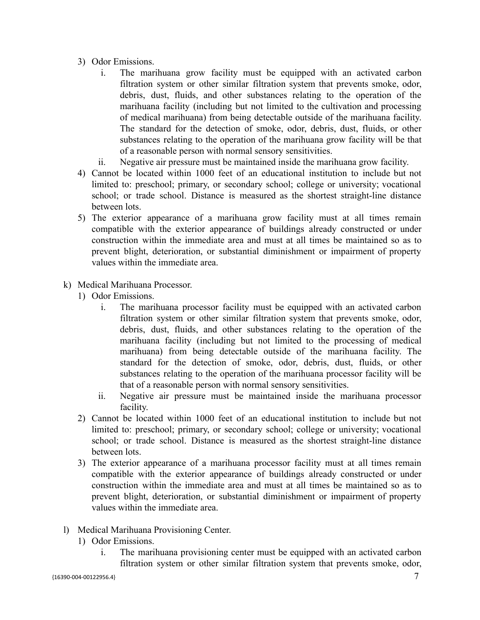- 3) Odor Emissions.
	- i. The marihuana grow facility must be equipped with an activated carbon filtration system or other similar filtration system that prevents smoke, odor, debris, dust, fluids, and other substances relating to the operation of the marihuana facility (including but not limited to the cultivation and processing of medical marihuana) from being detectable outside of the marihuana facility. The standard for the detection of smoke, odor, debris, dust, fluids, or other substances relating to the operation of the marihuana grow facility will be that of a reasonable person with normal sensory sensitivities.
	- ii. Negative air pressure must be maintained inside the marihuana grow facility.
- 4) Cannot be located within 1000 feet of an educational institution to include but not limited to: preschool; primary, or secondary school; college or university; vocational school; or trade school. Distance is measured as the shortest straight-line distance between lots.
- 5) The exterior appearance of a marihuana grow facility must at all times remain compatible with the exterior appearance of buildings already constructed or under construction within the immediate area and must at all times be maintained so as to prevent blight, deterioration, or substantial diminishment or impairment of property values within the immediate area.
- k) Medical Marihuana Processor.
	- 1) Odor Emissions.
		- i. The marihuana processor facility must be equipped with an activated carbon filtration system or other similar filtration system that prevents smoke, odor, debris, dust, fluids, and other substances relating to the operation of the marihuana facility (including but not limited to the processing of medical marihuana) from being detectable outside of the marihuana facility. The standard for the detection of smoke, odor, debris, dust, fluids, or other substances relating to the operation of the marihuana processor facility will be that of a reasonable person with normal sensory sensitivities.
		- ii. Negative air pressure must be maintained inside the marihuana processor facility.
	- 2) Cannot be located within 1000 feet of an educational institution to include but not limited to: preschool; primary, or secondary school; college or university; vocational school; or trade school. Distance is measured as the shortest straight-line distance between lots.
	- 3) The exterior appearance of a marihuana processor facility must at all times remain compatible with the exterior appearance of buildings already constructed or under construction within the immediate area and must at all times be maintained so as to prevent blight, deterioration, or substantial diminishment or impairment of property values within the immediate area.
- l) Medical Marihuana Provisioning Center.
	- 1) Odor Emissions.
		- i. The marihuana provisioning center must be equipped with an activated carbon filtration system or other similar filtration system that prevents smoke, odor,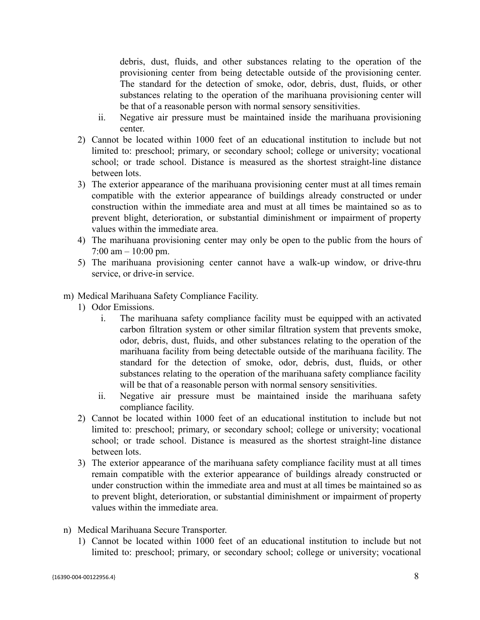debris, dust, fluids, and other substances relating to the operation of the provisioning center from being detectable outside of the provisioning center. The standard for the detection of smoke, odor, debris, dust, fluids, or other substances relating to the operation of the marihuana provisioning center will be that of a reasonable person with normal sensory sensitivities.

- ii. Negative air pressure must be maintained inside the marihuana provisioning center.
- 2) Cannot be located within 1000 feet of an educational institution to include but not limited to: preschool; primary, or secondary school; college or university; vocational school; or trade school. Distance is measured as the shortest straight-line distance between lots.
- 3) The exterior appearance of the marihuana provisioning center must at all times remain compatible with the exterior appearance of buildings already constructed or under construction within the immediate area and must at all times be maintained so as to prevent blight, deterioration, or substantial diminishment or impairment of property values within the immediate area.
- 4) The marihuana provisioning center may only be open to the public from the hours of  $7:00 \text{ am} - 10:00 \text{ pm}.$
- 5) The marihuana provisioning center cannot have a walk-up window, or drive-thru service, or drive-in service.
- m) Medical Marihuana Safety Compliance Facility.
	- 1) Odor Emissions.
		- i. The marihuana safety compliance facility must be equipped with an activated carbon filtration system or other similar filtration system that prevents smoke, odor, debris, dust, fluids, and other substances relating to the operation of the marihuana facility from being detectable outside of the marihuana facility. The standard for the detection of smoke, odor, debris, dust, fluids, or other substances relating to the operation of the marihuana safety compliance facility will be that of a reasonable person with normal sensory sensitivities.
		- ii. Negative air pressure must be maintained inside the marihuana safety compliance facility.
	- 2) Cannot be located within 1000 feet of an educational institution to include but not limited to: preschool; primary, or secondary school; college or university; vocational school; or trade school. Distance is measured as the shortest straight-line distance between lots.
	- 3) The exterior appearance of the marihuana safety compliance facility must at all times remain compatible with the exterior appearance of buildings already constructed or under construction within the immediate area and must at all times be maintained so as to prevent blight, deterioration, or substantial diminishment or impairment of property values within the immediate area.
- n) Medical Marihuana Secure Transporter.
	- 1) Cannot be located within 1000 feet of an educational institution to include but not limited to: preschool; primary, or secondary school; college or university; vocational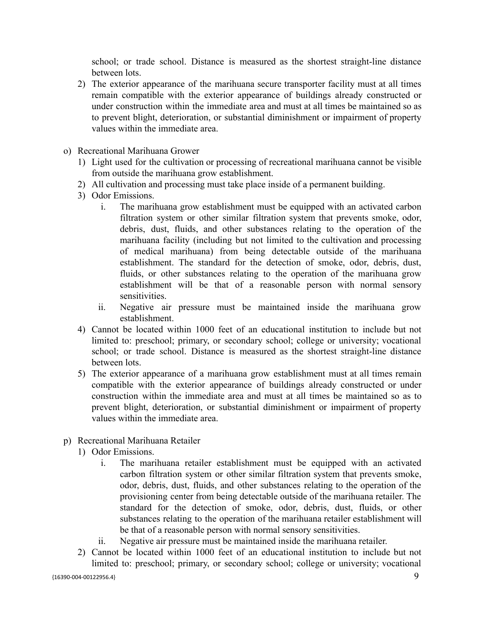school; or trade school. Distance is measured as the shortest straight-line distance between lots.

- 2) The exterior appearance of the marihuana secure transporter facility must at all times remain compatible with the exterior appearance of buildings already constructed or under construction within the immediate area and must at all times be maintained so as to prevent blight, deterioration, or substantial diminishment or impairment of property values within the immediate area.
- o) Recreational Marihuana Grower
	- 1) Light used for the cultivation or processing of recreational marihuana cannot be visible from outside the marihuana grow establishment.
	- 2) All cultivation and processing must take place inside of a permanent building.
	- 3) Odor Emissions.
		- i. The marihuana grow establishment must be equipped with an activated carbon filtration system or other similar filtration system that prevents smoke, odor, debris, dust, fluids, and other substances relating to the operation of the marihuana facility (including but not limited to the cultivation and processing of medical marihuana) from being detectable outside of the marihuana establishment. The standard for the detection of smoke, odor, debris, dust, fluids, or other substances relating to the operation of the marihuana grow establishment will be that of a reasonable person with normal sensory sensitivities.
		- ii. Negative air pressure must be maintained inside the marihuana grow establishment.
	- 4) Cannot be located within 1000 feet of an educational institution to include but not limited to: preschool; primary, or secondary school; college or university; vocational school; or trade school. Distance is measured as the shortest straight-line distance between lots.
	- 5) The exterior appearance of a marihuana grow establishment must at all times remain compatible with the exterior appearance of buildings already constructed or under construction within the immediate area and must at all times be maintained so as to prevent blight, deterioration, or substantial diminishment or impairment of property values within the immediate area.
- p) Recreational Marihuana Retailer
	- 1) Odor Emissions.
		- i. The marihuana retailer establishment must be equipped with an activated carbon filtration system or other similar filtration system that prevents smoke, odor, debris, dust, fluids, and other substances relating to the operation of the provisioning center from being detectable outside of the marihuana retailer. The standard for the detection of smoke, odor, debris, dust, fluids, or other substances relating to the operation of the marihuana retailer establishment will be that of a reasonable person with normal sensory sensitivities.
		- ii. Negative air pressure must be maintained inside the marihuana retailer.
	- 2) Cannot be located within 1000 feet of an educational institution to include but not limited to: preschool; primary, or secondary school; college or university; vocational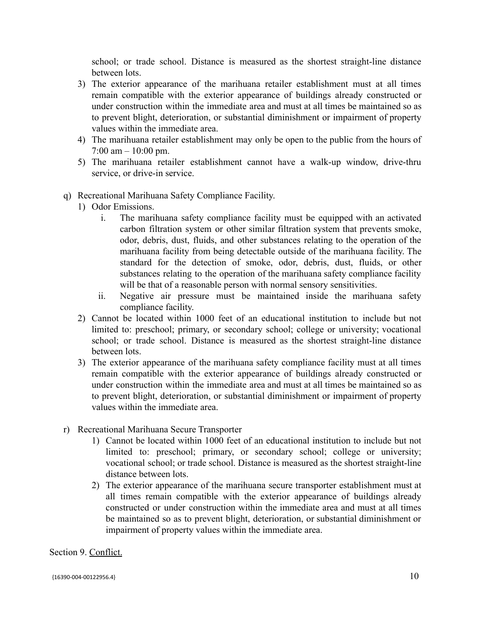school; or trade school. Distance is measured as the shortest straight-line distance between lots.

- 3) The exterior appearance of the marihuana retailer establishment must at all times remain compatible with the exterior appearance of buildings already constructed or under construction within the immediate area and must at all times be maintained so as to prevent blight, deterioration, or substantial diminishment or impairment of property values within the immediate area.
- 4) The marihuana retailer establishment may only be open to the public from the hours of 7:00 am – 10:00 pm.
- 5) The marihuana retailer establishment cannot have a walk-up window, drive-thru service, or drive-in service.
- q) Recreational Marihuana Safety Compliance Facility.
	- 1) Odor Emissions.
		- i. The marihuana safety compliance facility must be equipped with an activated carbon filtration system or other similar filtration system that prevents smoke, odor, debris, dust, fluids, and other substances relating to the operation of the marihuana facility from being detectable outside of the marihuana facility. The standard for the detection of smoke, odor, debris, dust, fluids, or other substances relating to the operation of the marihuana safety compliance facility will be that of a reasonable person with normal sensory sensitivities.
		- ii. Negative air pressure must be maintained inside the marihuana safety compliance facility.
	- 2) Cannot be located within 1000 feet of an educational institution to include but not limited to: preschool; primary, or secondary school; college or university; vocational school; or trade school. Distance is measured as the shortest straight-line distance between lots.
	- 3) The exterior appearance of the marihuana safety compliance facility must at all times remain compatible with the exterior appearance of buildings already constructed or under construction within the immediate area and must at all times be maintained so as to prevent blight, deterioration, or substantial diminishment or impairment of property values within the immediate area.
- r) Recreational Marihuana Secure Transporter
	- 1) Cannot be located within 1000 feet of an educational institution to include but not limited to: preschool; primary, or secondary school; college or university; vocational school; or trade school. Distance is measured as the shortest straight-line distance between lots.
	- 2) The exterior appearance of the marihuana secure transporter establishment must at all times remain compatible with the exterior appearance of buildings already constructed or under construction within the immediate area and must at all times be maintained so as to prevent blight, deterioration, or substantial diminishment or impairment of property values within the immediate area.

## Section 9. Conflict.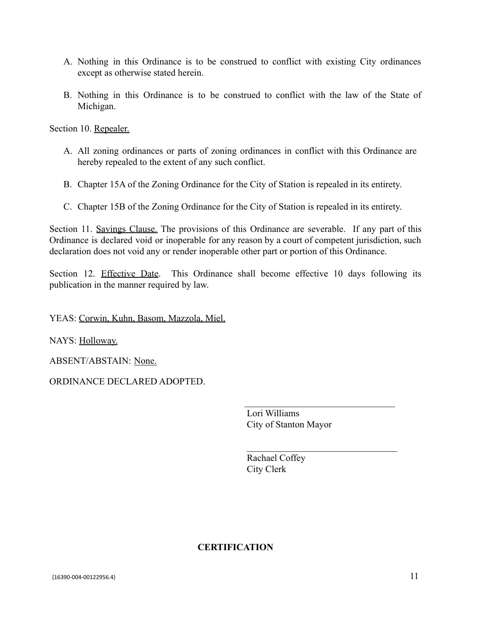- A. Nothing in this Ordinance is to be construed to conflict with existing City ordinances except as otherwise stated herein.
- B. Nothing in this Ordinance is to be construed to conflict with the law of the State of Michigan.

Section 10. Repealer.

- A. All zoning ordinances or parts of zoning ordinances in conflict with this Ordinance are hereby repealed to the extent of any such conflict.
- B. Chapter 15A of the Zoning Ordinance for the City of Station is repealed in its entirety.
- C. Chapter 15B of the Zoning Ordinance for the City of Station is repealed in its entirety.

Section 11. Savings Clause. The provisions of this Ordinance are severable. If any part of this Ordinance is declared void or inoperable for any reason by a court of competent jurisdiction, such declaration does not void any or render inoperable other part or portion of this Ordinance.

Section 12. Effective Date. This Ordinance shall become effective 10 days following its publication in the manner required by law.

YEAS: Corwin, Kuhn, Basom, Mazzola, Miel.

NAYS: Holloway.

ABSENT/ABSTAIN: None.

ORDINANCE DECLARED ADOPTED.

Lori Williams City of Stanton Mayor

 $\mathcal{L}_\text{max}$  , where  $\mathcal{L}_\text{max}$  and  $\mathcal{L}_\text{max}$  and  $\mathcal{L}_\text{max}$ 

 $\mathcal{L}_\text{max}$  , where  $\mathcal{L}_\text{max}$  and  $\mathcal{L}_\text{max}$  and  $\mathcal{L}_\text{max}$ 

Rachael Coffey City Clerk

## **CERTIFICATION**